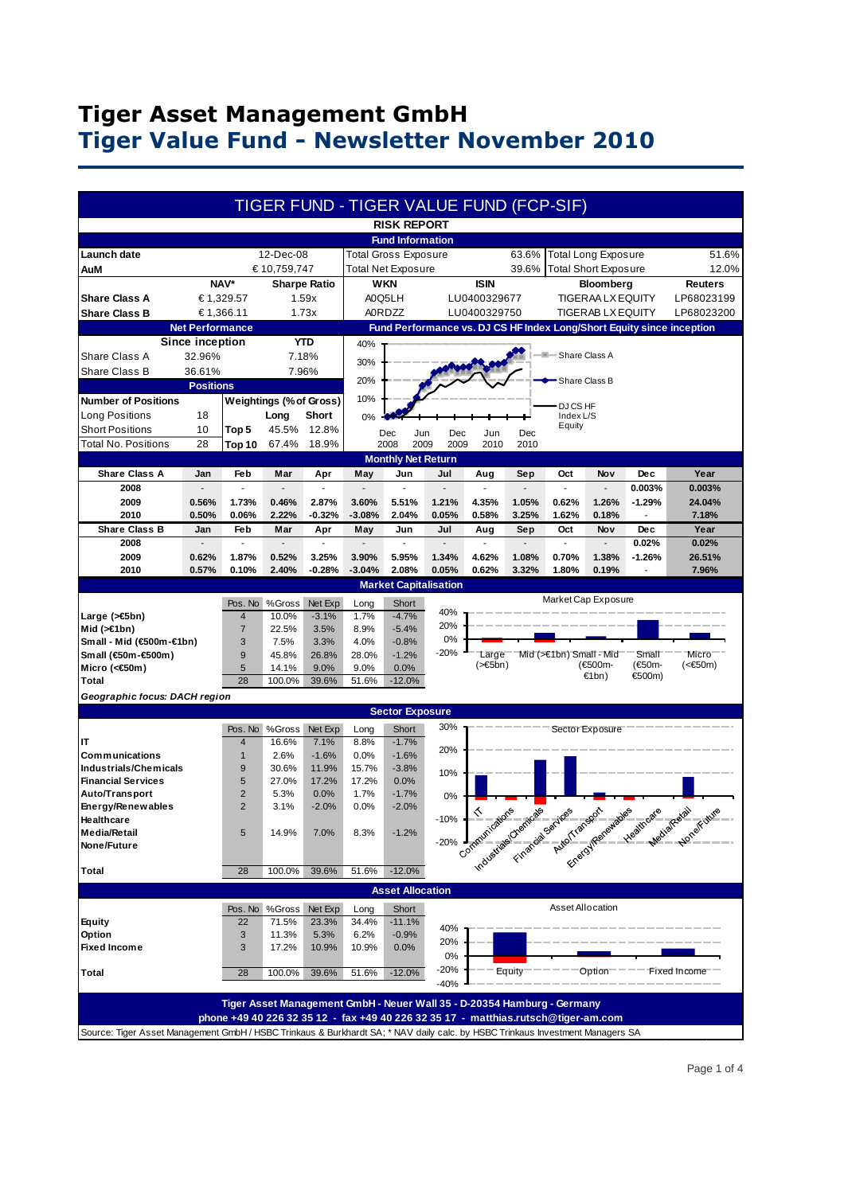### **Tiger Asset Management GmbH Tiger Value Fund - Newsletter November 2010**

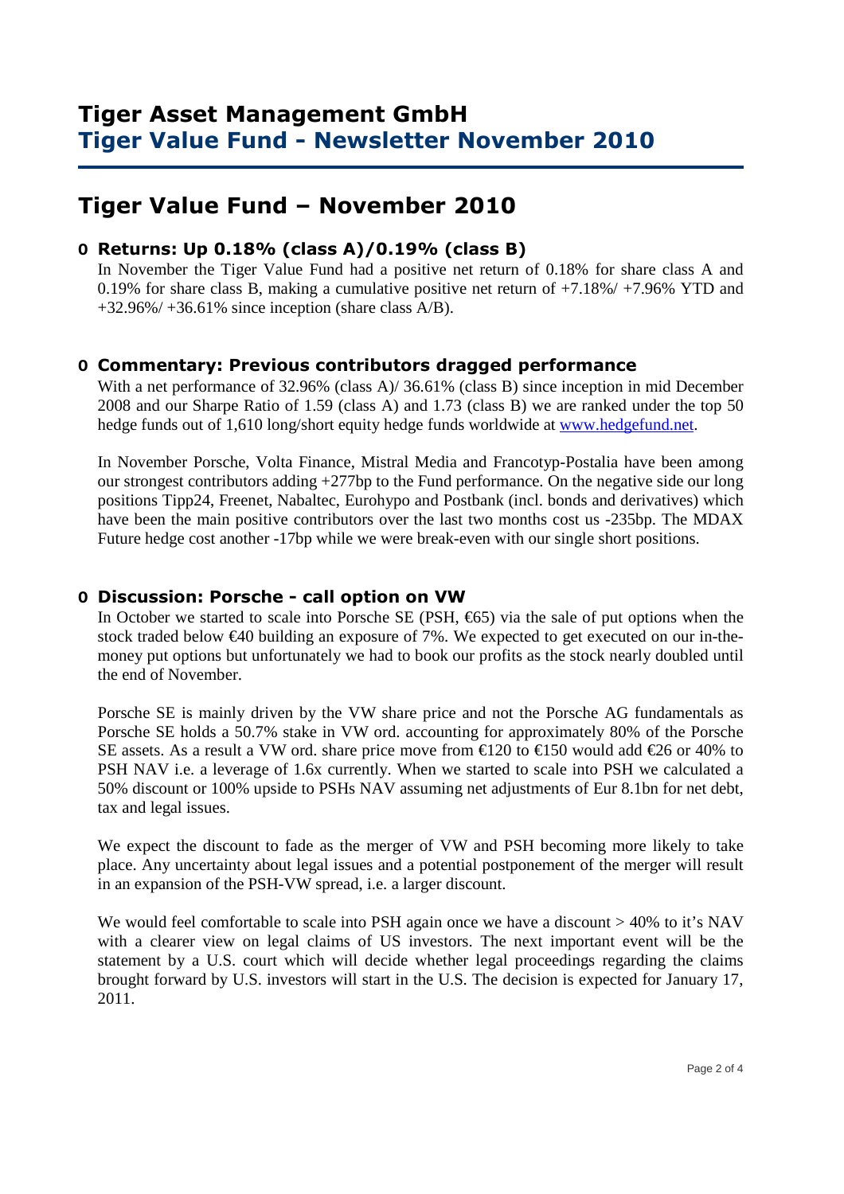# **Tiger Value Fund – November 2010**

#### **O Returns: Up 0.18% (class A)/0.19% (class B)**

 In November the Tiger Value Fund had a positive net return of 0.18% for share class A and 0.19% for share class B, making a cumulative positive net return of +7.18%/ +7.96% YTD and  $+32.96\%/+36.61\%$  since inception (share class A/B).

#### **O Commentary: Previous contributors dragged performance**

With a net performance of 32.96% (class A)/ 36.61% (class B) since inception in mid December 2008 and our Sharpe Ratio of 1.59 (class A) and 1.73 (class B) we are ranked under the top 50 hedge funds out of 1,610 long/short equity hedge funds worldwide at www.hedgefund.net.

In November Porsche, Volta Finance, Mistral Media and Francotyp-Postalia have been among our strongest contributors adding +277bp to the Fund performance. On the negative side our long positions Tipp24, Freenet, Nabaltec, Eurohypo and Postbank (incl. bonds and derivatives) which have been the main positive contributors over the last two months cost us -235bp. The MDAX Future hedge cost another -17bp while we were break-even with our single short positions.

#### **O Discussion: Porsche - call option on VW**

In October we started to scale into Porsche SE (PSH,  $\epsilon$ 65) via the sale of put options when the stock traded below €40 building an exposure of 7%. We expected to get executed on our in-themoney put options but unfortunately we had to book our profits as the stock nearly doubled until the end of November.

Porsche SE is mainly driven by the VW share price and not the Porsche AG fundamentals as Porsche SE holds a 50.7% stake in VW ord. accounting for approximately 80% of the Porsche SE assets. As a result a VW ord. share price move from  $\epsilon$ 120 to  $\epsilon$ 150 would add  $\epsilon$ 26 or 40% to PSH NAV i.e. a leverage of 1.6x currently. When we started to scale into PSH we calculated a 50% discount or 100% upside to PSHs NAV assuming net adjustments of Eur 8.1bn for net debt, tax and legal issues.

We expect the discount to fade as the merger of VW and PSH becoming more likely to take place. Any uncertainty about legal issues and a potential postponement of the merger will result in an expansion of the PSH-VW spread, i.e. a larger discount.

We would feel comfortable to scale into PSH again once we have a discount > 40% to it's NAV with a clearer view on legal claims of US investors. The next important event will be the statement by a U.S. court which will decide whether legal proceedings regarding the claims brought forward by U.S. investors will start in the U.S. The decision is expected for January 17, 2011.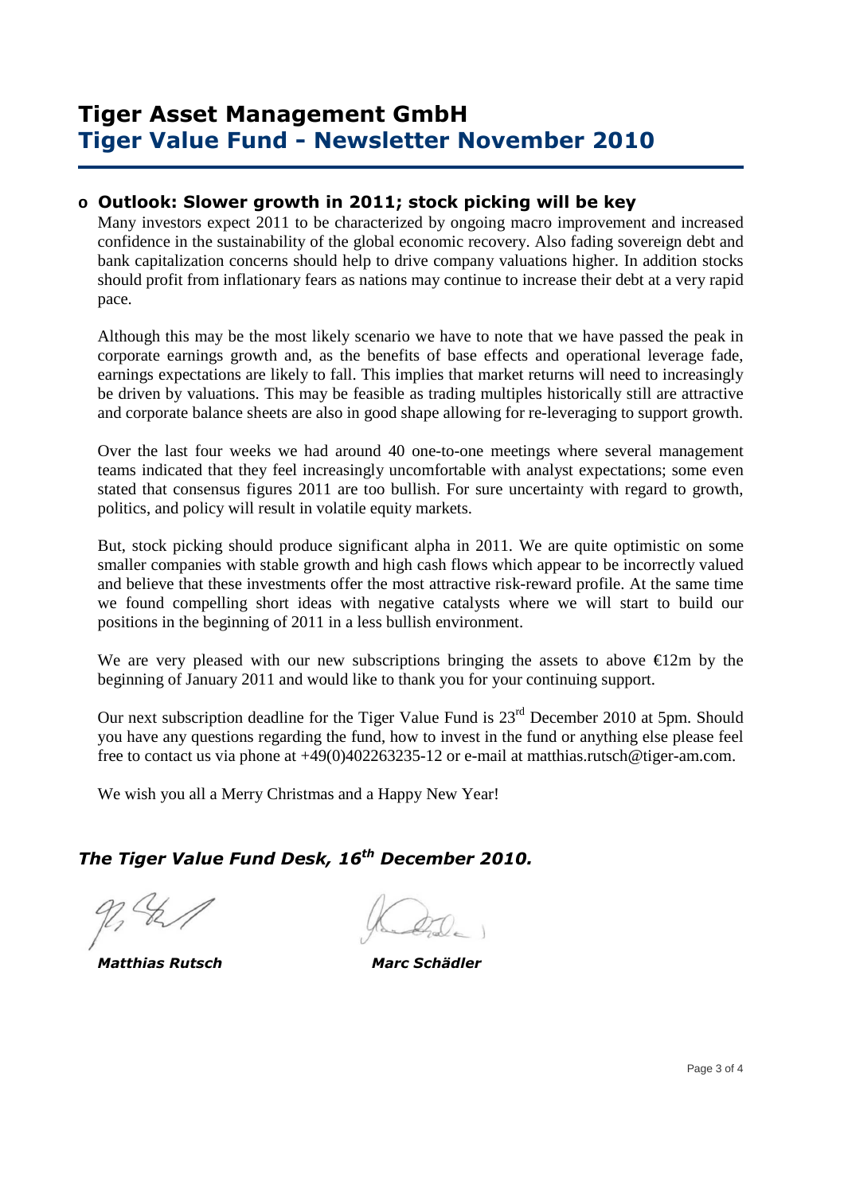## **Tiger Asset Management GmbH Tiger Value Fund - Newsletter November 2010**

### **o Outlook: Slower growth in 2011; stock picking will be key**

Many investors expect 2011 to be characterized by ongoing macro improvement and increased confidence in the sustainability of the global economic recovery. Also fading sovereign debt and bank capitalization concerns should help to drive company valuations higher. In addition stocks should profit from inflationary fears as nations may continue to increase their debt at a very rapid pace.

Although this may be the most likely scenario we have to note that we have passed the peak in corporate earnings growth and, as the benefits of base effects and operational leverage fade, earnings expectations are likely to fall. This implies that market returns will need to increasingly be driven by valuations. This may be feasible as trading multiples historically still are attractive and corporate balance sheets are also in good shape allowing for re-leveraging to support growth.

Over the last four weeks we had around 40 one-to-one meetings where several management teams indicated that they feel increasingly uncomfortable with analyst expectations; some even stated that consensus figures 2011 are too bullish. For sure uncertainty with regard to growth, politics, and policy will result in volatile equity markets.

But, stock picking should produce significant alpha in 2011. We are quite optimistic on some smaller companies with stable growth and high cash flows which appear to be incorrectly valued and believe that these investments offer the most attractive risk-reward profile. At the same time we found compelling short ideas with negative catalysts where we will start to build our positions in the beginning of 2011 in a less bullish environment.

We are very pleased with our new subscriptions bringing the assets to above  $\epsilon$ 12m by the beginning of January 2011 and would like to thank you for your continuing support.

Our next subscription deadline for the Tiger Value Fund is  $23<sup>rd</sup>$  December 2010 at 5pm. Should you have any questions regarding the fund, how to invest in the fund or anything else please feel free to contact us via phone at +49(0)402263235-12 or e-mail at matthias.rutsch@tiger-am.com.

We wish you all a Merry Christmas and a Happy New Year!

### *The Tiger Value Fund Desk, 16th December 2010.*

 *Matthias Rutsch Marc Schädler*